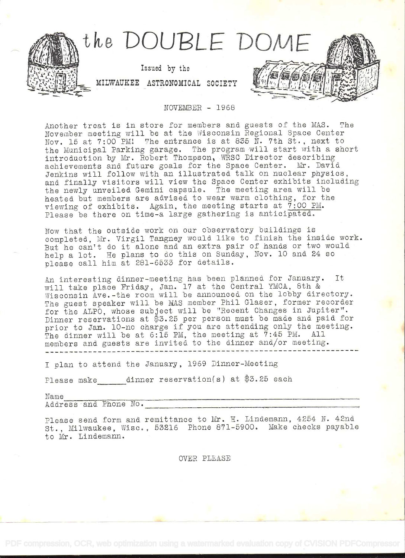

NOVEMBER - 1968

Another treat is in store for members and guests of the MAS. The November meeting will be at the Wisconsin Regional Space Center Nov. 15 at  $7:00$  PM! The entrance is at 835 N. 7th St., next to the Municipal Parking garage. The program will start with a short<br>introduction by Mr. Robert Thompson, WRSC Director describing achievements and future goals for the Space Center. Mr. David Jenkins will follow with an illastrated talk on nuclear physics, and finally visitors will view the Space Center exhibits including<br>the newly unveiled Gemini capsule. The meeting area will be heated but members are advised to wear warm clothing, for the viewing of exhibits. Again, the meeting starts at  $7:00$  PM. Please be there on time-a large gathering is anticipated.

Now that the outside work on our observatory buildings is completed, Mr. Virgil Tangney would like to finish the inside work. But he can't do it alone and an extra pair of hands or two would help a lot. He plans to do this on Sunday, Nov. lO and 24 so please call him at 281-6533 for details.

An interesting dinner-meeting has been planned for January. It will take place Friday, Jan. 17 at the Central YMCA, 8th &<br>Wisconsin Ave.-the room will be announced on the lobby directory. The guest speaker will be MAS member Phil Glaser, former recorder for the ALPO, whose subject will be "Recent Changes in Jupiter".<br>Dinner reservations at \$3.25 per person must be made and paid for prior to Jan. lO-no charge if you are attending only the meeting. The dinner will be at 6:15 PM, the meeting at 7:45 PM. All members and guests are invited to the dinner and/or meeting.

I plan to attend the January, 1969 Dinner-Meeting

Please make dinner reservation(s) at  $$3.25$  each

Name<br>Address and Phone No.

Please send form and remittance to Mr. H. Lindemann, 4254 N. 42nd St., Milwaukee, Wisc., 52l6 Phone 871-5900. Make checks payable to Mr. Lindemann.

OVER PLEASE